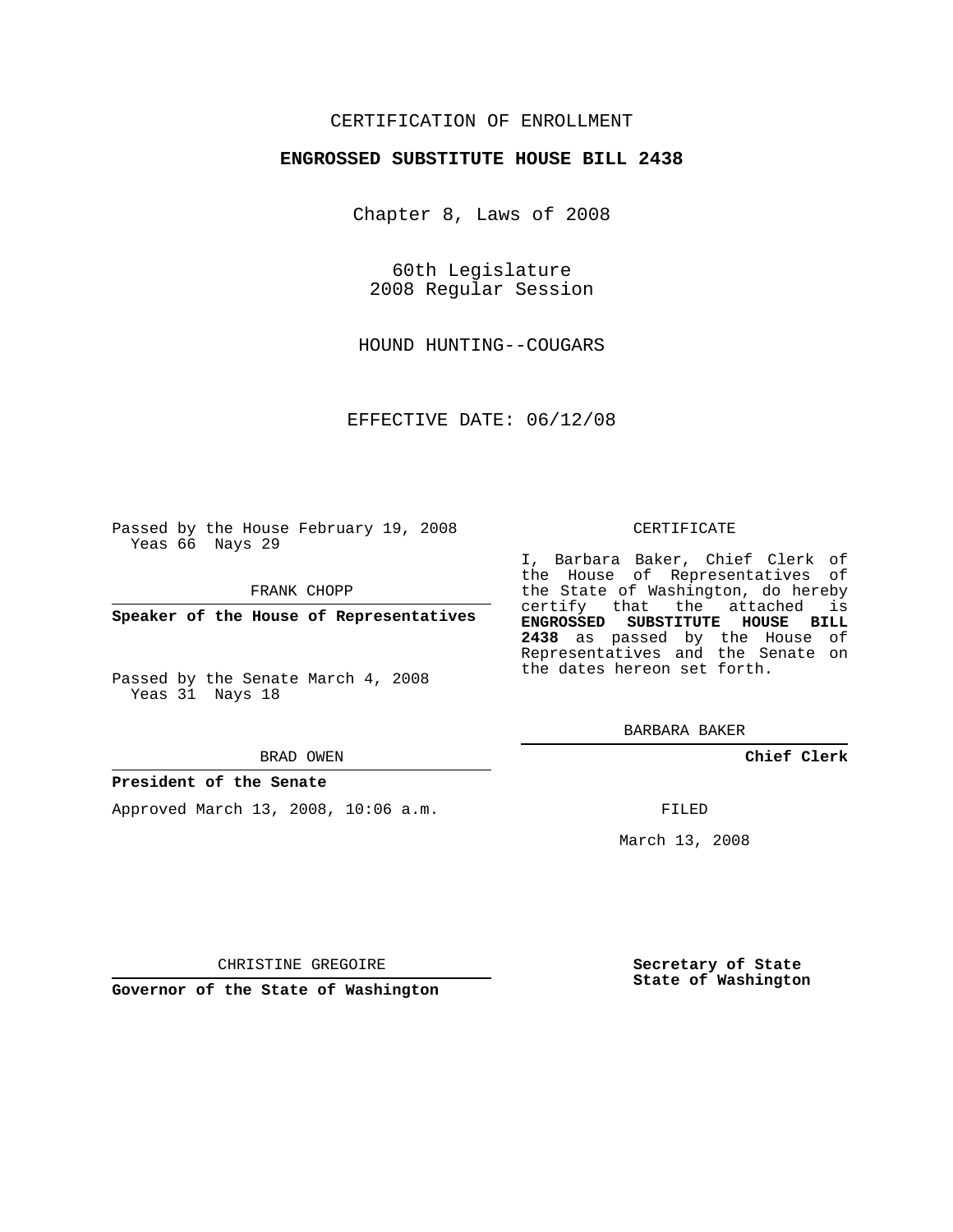### CERTIFICATION OF ENROLLMENT

### **ENGROSSED SUBSTITUTE HOUSE BILL 2438**

Chapter 8, Laws of 2008

60th Legislature 2008 Regular Session

HOUND HUNTING--COUGARS

EFFECTIVE DATE: 06/12/08

Passed by the House February 19, 2008 Yeas 66 Nays 29

FRANK CHOPP

**Speaker of the House of Representatives**

Passed by the Senate March 4, 2008 Yeas 31 Nays 18

#### BRAD OWEN

### **President of the Senate**

Approved March 13, 2008, 10:06 a.m.

#### CERTIFICATE

I, Barbara Baker, Chief Clerk of the House of Representatives of the State of Washington, do hereby certify that the attached is **ENGROSSED SUBSTITUTE HOUSE BILL 2438** as passed by the House of Representatives and the Senate on the dates hereon set forth.

BARBARA BAKER

**Chief Clerk**

FILED

March 13, 2008

CHRISTINE GREGOIRE

**Governor of the State of Washington**

**Secretary of State State of Washington**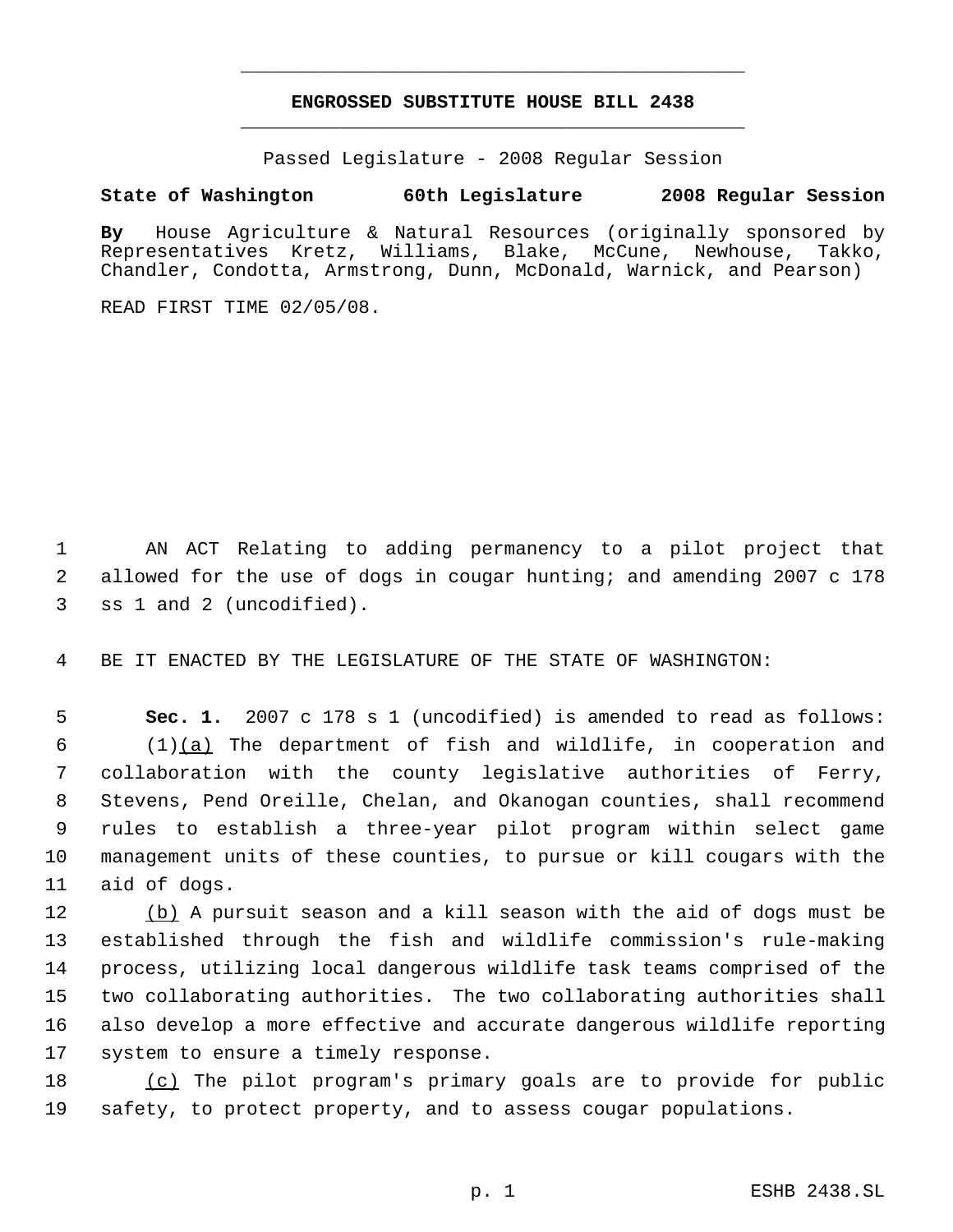# **ENGROSSED SUBSTITUTE HOUSE BILL 2438** \_\_\_\_\_\_\_\_\_\_\_\_\_\_\_\_\_\_\_\_\_\_\_\_\_\_\_\_\_\_\_\_\_\_\_\_\_\_\_\_\_\_\_\_\_

\_\_\_\_\_\_\_\_\_\_\_\_\_\_\_\_\_\_\_\_\_\_\_\_\_\_\_\_\_\_\_\_\_\_\_\_\_\_\_\_\_\_\_\_\_

Passed Legislature - 2008 Regular Session

# **State of Washington 60th Legislature 2008 Regular Session**

**By** House Agriculture & Natural Resources (originally sponsored by Representatives Kretz, Williams, Blake, McCune, Newhouse, Takko, Chandler, Condotta, Armstrong, Dunn, McDonald, Warnick, and Pearson)

READ FIRST TIME 02/05/08.

 AN ACT Relating to adding permanency to a pilot project that allowed for the use of dogs in cougar hunting; and amending 2007 c 178 ss 1 and 2 (uncodified).

BE IT ENACTED BY THE LEGISLATURE OF THE STATE OF WASHINGTON:

 **Sec. 1.** 2007 c 178 s 1 (uncodified) is amended to read as follows: (1)(a) The department of fish and wildlife, in cooperation and collaboration with the county legislative authorities of Ferry, Stevens, Pend Oreille, Chelan, and Okanogan counties, shall recommend rules to establish a three-year pilot program within select game management units of these counties, to pursue or kill cougars with the aid of dogs.

12 (b) A pursuit season and a kill season with the aid of dogs must be established through the fish and wildlife commission's rule-making process, utilizing local dangerous wildlife task teams comprised of the two collaborating authorities. The two collaborating authorities shall also develop a more effective and accurate dangerous wildlife reporting system to ensure a timely response.

 (c) The pilot program's primary goals are to provide for public safety, to protect property, and to assess cougar populations.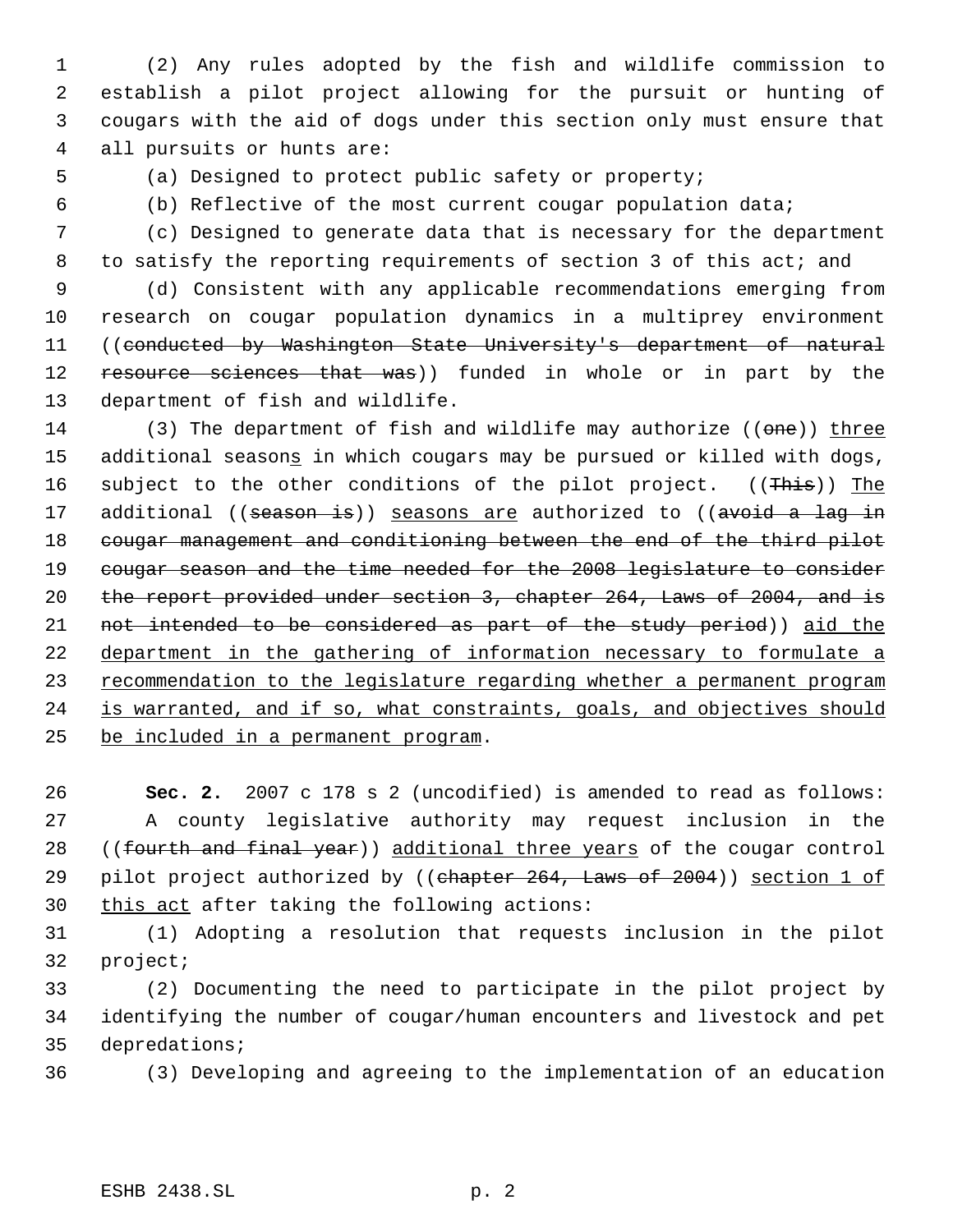(2) Any rules adopted by the fish and wildlife commission to establish a pilot project allowing for the pursuit or hunting of cougars with the aid of dogs under this section only must ensure that all pursuits or hunts are:

(a) Designed to protect public safety or property;

(b) Reflective of the most current cougar population data;

 (c) Designed to generate data that is necessary for the department 8 to satisfy the reporting requirements of section 3 of this act; and

 (d) Consistent with any applicable recommendations emerging from research on cougar population dynamics in a multiprey environment ((conducted by Washington State University's department of natural 12 resource sciences that was)) funded in whole or in part by the department of fish and wildlife.

14 (3) The department of fish and wildlife may authorize ((one)) three 15 additional seasons in which cougars may be pursued or killed with dogs, 16 subject to the other conditions of the pilot project. ((This)) The 17 additional ((season is)) seasons are authorized to ((avoid a lag in 18 cougar management and conditioning between the end of the third pilot 19 cougar season and the time needed for the 2008 legislature to consider the report provided under section 3, chapter 264, Laws of 2004, and is not intended to be considered as part of the study period)) aid the department in the gathering of information necessary to formulate a 23 recommendation to the legislature regarding whether a permanent program 24 is warranted, and if so, what constraints, goals, and objectives should be included in a permanent program.

 **Sec. 2.** 2007 c 178 s 2 (uncodified) is amended to read as follows: A county legislative authority may request inclusion in the 28 ((fourth and final year)) additional three years of the cougar control 29 pilot project authorized by ((chapter 264, Laws of 2004)) section 1 of 30 this act after taking the following actions:

 (1) Adopting a resolution that requests inclusion in the pilot project;

 (2) Documenting the need to participate in the pilot project by identifying the number of cougar/human encounters and livestock and pet depredations;

(3) Developing and agreeing to the implementation of an education